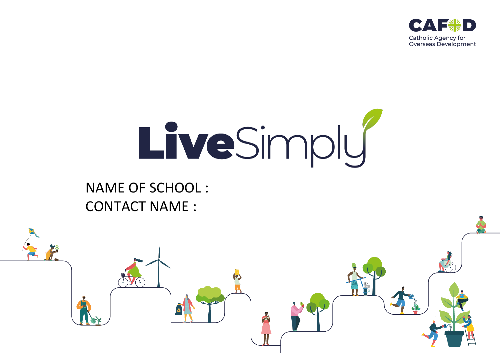

# LiveSimply

# NAME OF SCHOOL : CONTACT NAME :

ە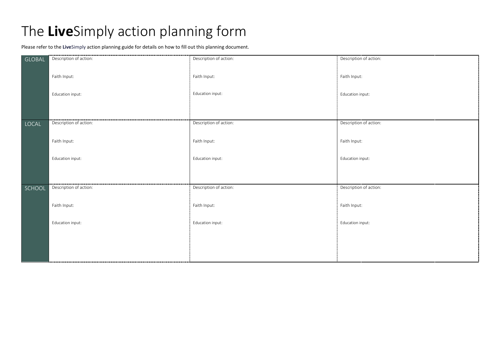# The **Live**Simply action planning form

Please refer to the **Live**Simply action planning guide for details on how to fill out this planning document.

| GLOBAL |                        | Description of action: | Description of action: |
|--------|------------------------|------------------------|------------------------|
|        |                        |                        |                        |
|        |                        |                        |                        |
|        | Faith Input:           | Faith Input:           | Faith Input:           |
|        |                        |                        |                        |
|        | Education input:       | Education input:       | Education input:       |
|        |                        |                        |                        |
|        |                        |                        |                        |
|        |                        |                        |                        |
| LOCAL  | Description of action: | Description of action: | Description of action: |
|        |                        |                        |                        |
|        | Faith Input:           | Faith Input:           | Faith Input:           |
|        |                        |                        |                        |
|        |                        |                        |                        |
|        | Education input:       | Education input:       | Education input:       |
|        |                        |                        |                        |
|        |                        |                        |                        |
|        |                        |                        |                        |
| SCHOOL | Description of action: | Description of action: | Description of action: |
|        |                        |                        |                        |
|        | Faith Input:           | Faith Input:           | Faith Input:           |
|        |                        |                        |                        |
|        |                        |                        |                        |
|        | Education input:       | Education input:       | Education input:       |
|        |                        |                        |                        |
|        |                        |                        |                        |
|        |                        |                        |                        |
|        |                        |                        |                        |
|        |                        |                        |                        |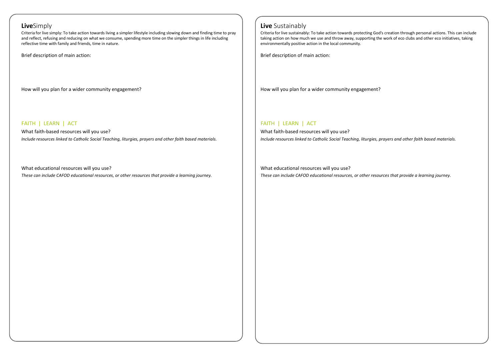### **Live**Simply

Criteria for live simply: To take action towards living a simpler lifestyle including slowing down and finding time to pray and reflect, refusing and reducing on what we consume, spending more time on the simpler things in life including reflective time with family and friends, time in nature.

Brief description of main action:

How will you plan for a wider community engagement?

### FAITH | LEARN | ACT

What faith-based resources will you use? *Include resources linked to Catholic Social Teaching, liturgies, prayers and other faith based materials.* 

What educational resources will you use? *These can include CAFOD educational resources, or other resources that provide a learning journey.*

## **Live** Sustainably

Criteria for live sustainably: To take action towards protecting God's creation through personal actions. This can include taking action on how much we use and throw away, supporting the work of eco clubs and other eco initiatives, taking environmentally positive action in the local community.

Brief description of main action:

How will you plan for a wider community engagement?

# FAITH | LEARN | ACT

What faith-based resources will you use? *Include resources linked to Catholic Social Teaching, liturgies, prayers and other faith based materials.* 

What educational resources will you use? *These can include CAFOD educational resources, or other resources that provide a learning journey.*